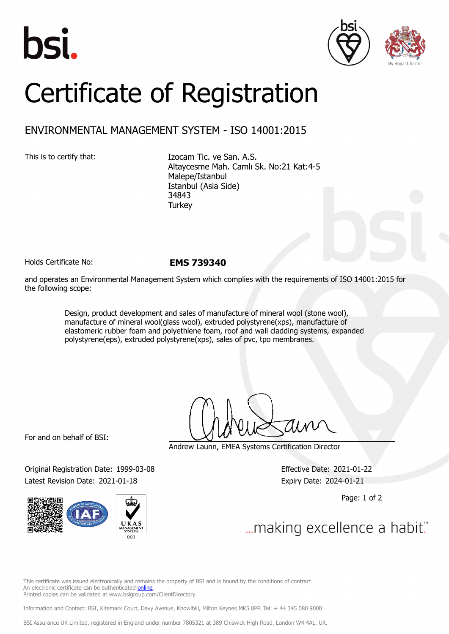





## Certificate of Registration

## ENVIRONMENTAL MANAGEMENT SYSTEM - ISO 14001:2015

This is to certify that: Izocam Tic. ve San. A.S. Altaycesme Mah. Camlı Sk. No:21 Kat:4-5 Malepe/Istanbul Istanbul (Asia Side) 34843 **Turkey** 

Holds Certificate No: **EMS 739340**

and operates an Environmental Management System which complies with the requirements of ISO 14001:2015 for the following scope:

> Design, product development and sales of manufacture of mineral wool (stone wool), manufacture of mineral wool(glass wool), extruded polystyrene(xps), manufacture of elastomeric rubber foam and polyethlene foam, roof and wall cladding systems, expanded polystyrene(eps), extruded polystyrene(xps), sales of pvc, tpo membranes.

For and on behalf of BSI:

Original Registration Date: 1999-03-08 Effective Date: 2021-01-22 Latest Revision Date: 2021-01-18 Expiry Date: 2024-01-21



Andrew Launn, EMEA Systems Certification Director

Page: 1 of 2

... making excellence a habit."

This certificate was issued electronically and remains the property of BSI and is bound by the conditions of contract. An electronic certificate can be authenticated [online](https://pgplus.bsigroup.com/CertificateValidation/CertificateValidator.aspx?CertificateNumber=EMS+739340&ReIssueDate=18%2f01%2f2021&Template=cemea_en). Printed copies can be validated at www.bsigroup.com/ClientDirectory

Information and Contact: BSI, Kitemark Court, Davy Avenue, Knowlhill, Milton Keynes MK5 8PP. Tel: + 44 345 080 9000

BSI Assurance UK Limited, registered in England under number 7805321 at 389 Chiswick High Road, London W4 4AL, UK.